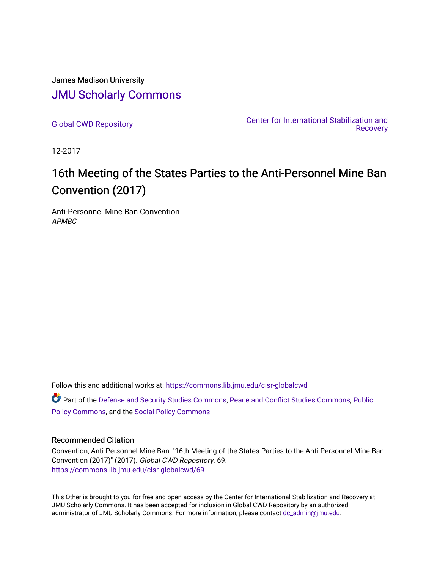James Madison University [JMU Scholarly Commons](https://commons.lib.jmu.edu/)

[Global CWD Repository](https://commons.lib.jmu.edu/cisr-globalcwd) [Center for International Stabilization and](https://commons.lib.jmu.edu/cisr)  **Recovery** 

12-2017

# 16th Meeting of the States Parties to the Anti-Personnel Mine Ban Convention (2017)

Anti-Personnel Mine Ban Convention APMBC

Follow this and additional works at: [https://commons.lib.jmu.edu/cisr-globalcwd](https://commons.lib.jmu.edu/cisr-globalcwd?utm_source=commons.lib.jmu.edu%2Fcisr-globalcwd%2F69&utm_medium=PDF&utm_campaign=PDFCoverPages)

Part of the [Defense and Security Studies Commons](http://network.bepress.com/hgg/discipline/394?utm_source=commons.lib.jmu.edu%2Fcisr-globalcwd%2F69&utm_medium=PDF&utm_campaign=PDFCoverPages), [Peace and Conflict Studies Commons](http://network.bepress.com/hgg/discipline/397?utm_source=commons.lib.jmu.edu%2Fcisr-globalcwd%2F69&utm_medium=PDF&utm_campaign=PDFCoverPages), [Public](http://network.bepress.com/hgg/discipline/400?utm_source=commons.lib.jmu.edu%2Fcisr-globalcwd%2F69&utm_medium=PDF&utm_campaign=PDFCoverPages) [Policy Commons](http://network.bepress.com/hgg/discipline/400?utm_source=commons.lib.jmu.edu%2Fcisr-globalcwd%2F69&utm_medium=PDF&utm_campaign=PDFCoverPages), and the [Social Policy Commons](http://network.bepress.com/hgg/discipline/1030?utm_source=commons.lib.jmu.edu%2Fcisr-globalcwd%2F69&utm_medium=PDF&utm_campaign=PDFCoverPages)

### Recommended Citation

Convention, Anti-Personnel Mine Ban, "16th Meeting of the States Parties to the Anti-Personnel Mine Ban Convention (2017)" (2017). Global CWD Repository. 69. [https://commons.lib.jmu.edu/cisr-globalcwd/69](https://commons.lib.jmu.edu/cisr-globalcwd/69?utm_source=commons.lib.jmu.edu%2Fcisr-globalcwd%2F69&utm_medium=PDF&utm_campaign=PDFCoverPages) 

This Other is brought to you for free and open access by the Center for International Stabilization and Recovery at JMU Scholarly Commons. It has been accepted for inclusion in Global CWD Repository by an authorized administrator of JMU Scholarly Commons. For more information, please contact [dc\\_admin@jmu.edu](mailto:dc_admin@jmu.edu).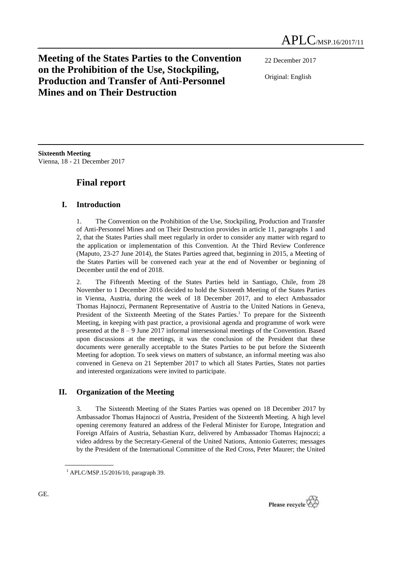# **Meeting of the States Parties to the Convention on the Prohibition of the Use, Stockpiling, Production and Transfer of Anti-Personnel Mines and on Their Destruction**

22 December 2017 Original: English

**Sixteenth Meeting** Vienna, 18 - 21 December 2017

# **Final report**

# **I. Introduction**

1. The Convention on the Prohibition of the Use, Stockpiling, Production and Transfer of Anti-Personnel Mines and on Their Destruction provides in article 11, paragraphs 1 and 2, that the States Parties shall meet regularly in order to consider any matter with regard to the application or implementation of this Convention. At the Third Review Conference (Maputo, 23-27 June 2014), the States Parties agreed that, beginning in 2015, a Meeting of the States Parties will be convened each year at the end of November or beginning of December until the end of 2018.

2. The Fifteenth Meeting of the States Parties held in Santiago, Chile, from 28 November to 1 December 2016 decided to hold the Sixteenth Meeting of the States Parties in Vienna, Austria, during the week of 18 December 2017, and to elect Ambassador Thomas Hajnoczi, Permanent Representative of Austria to the United Nations in Geneva, President of the Sixteenth Meeting of the States Parties.<sup>1</sup> To prepare for the Sixteenth Meeting, in keeping with past practice, a provisional agenda and programme of work were presented at the 8 – 9 June 2017 informal intersessional meetings of the Convention. Based upon discussions at the meetings, it was the conclusion of the President that these documents were generally acceptable to the States Parties to be put before the Sixteenth Meeting for adoption. To seek views on matters of substance, an informal meeting was also convened in Geneva on 21 September 2017 to which all States Parties, States not parties and interested organizations were invited to participate.

# **II. Organization of the Meeting**

3. The Sixteenth Meeting of the States Parties was opened on 18 December 2017 by Ambassador Thomas Hajnoczi of Austria, President of the Sixteenth Meeting. A high level opening ceremony featured an address of the Federal Minister for Europe, Integration and Foreign Affairs of Austria, Sebastian Kurz, delivered by Ambassador Thomas Hajnoczi; a video address by the Secretary-General of the United Nations, Antonio Guterres; messages by the President of the International Committee of the Red Cross, Peter Maurer; the United

**\_\_\_\_\_\_\_\_\_\_\_\_\_\_\_\_\_\_**



 $1$  APLC/MSP.15/2016/10, paragraph 39.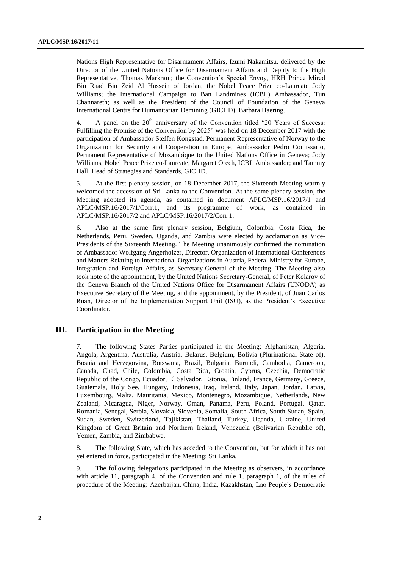Nations High Representative for Disarmament Affairs, Izumi Nakamitsu, delivered by the Director of the United Nations Office for Disarmament Affairs and Deputy to the High Representative, Thomas Markram; the Convention's Special Envoy, HRH Prince Mired Bin Raad Bin Zeid Al Hussein of Jordan; the Nobel Peace Prize co-Laureate Jody Williams; the International Campaign to Ban Landmines (ICBL) Ambassador, Tun Channareth; as well as the President of the Council of Foundation of the Geneva International Centre for Humanitarian Demining (GICHD), Barbara Haering.

4. A panel on the  $20<sup>th</sup>$  anniversary of the Convention titled "20 Years of Success: Fulfilling the Promise of the Convention by 2025" was held on 18 December 2017 with the participation of Ambassador Steffen Kongstad, Permanent Representative of Norway to the Organization for Security and Cooperation in Europe; Ambassador Pedro Comissario, Permanent Representative of Mozambique to the United Nations Office in Geneva; Jody Williams, Nobel Peace Prize co-Laureate; Margaret Orech, ICBL Ambassador; and Tammy Hall, Head of Strategies and Standards, GICHD.

5. At the first plenary session, on 18 December 2017, the Sixteenth Meeting warmly welcomed the accession of Sri Lanka to the Convention. At the same plenary session, the Meeting adopted its agenda, as contained in document APLC/MSP.16/2017/1 and APLC/MSP.16/2017/1/Corr.1, and its programme of work, as contained in APLC/MSP.16/2017/2 and APLC/MSP.16/2017/2/Corr.1.

6. Also at the same first plenary session, Belgium, Colombia, Costa Rica, the Netherlands, Peru, Sweden, Uganda, and Zambia were elected by acclamation as Vice-Presidents of the Sixteenth Meeting. The Meeting unanimously confirmed the nomination of Ambassador Wolfgang Angerholzer, Director, Organization of International Conferences and Matters Relating to International Organizations in Austria, Federal Ministry for Europe, Integration and Foreign Affairs, as Secretary-General of the Meeting. The Meeting also took note of the appointment, by the United Nations Secretary-General, of Peter Kolarov of the Geneva Branch of the United Nations Office for Disarmament Affairs (UNODA) as Executive Secretary of the Meeting, and the appointment, by the President, of Juan Carlos Ruan, Director of the Implementation Support Unit (ISU), as the President's Executive Coordinator.

### **III. Participation in the Meeting**

7. The following States Parties participated in the Meeting: Afghanistan, Algeria, Angola, Argentina, Australia, Austria, Belarus, Belgium, Bolivia (Plurinational State of), Bosnia and Herzegovina, Botswana, Brazil, Bulgaria, Burundi, Cambodia, Cameroon, Canada, Chad, Chile, Colombia, Costa Rica, Croatia, Cyprus, Czechia, Democratic Republic of the Congo, Ecuador, El Salvador, Estonia, Finland, France, Germany, Greece, Guatemala, Holy See, Hungary, Indonesia, Iraq, Ireland, Italy, Japan, Jordan, Latvia, Luxembourg, Malta, Mauritania, Mexico, Montenegro, Mozambique, Netherlands, New Zealand, Nicaragua, Niger, Norway, Oman, Panama, Peru, Poland, Portugal, Qatar, Romania, Senegal, Serbia, Slovakia, Slovenia, Somalia, South Africa, South Sudan, Spain, Sudan, Sweden, Switzerland, Tajikistan, Thailand, Turkey, Uganda, Ukraine, United Kingdom of Great Britain and Northern Ireland, Venezuela (Bolivarian Republic of), Yemen, Zambia, and Zimbabwe.

8. The following State, which has acceded to the Convention, but for which it has not yet entered in force, participated in the Meeting: Sri Lanka.

9. The following delegations participated in the Meeting as observers, in accordance with article 11, paragraph 4, of the Convention and rule 1, paragraph 1, of the rules of procedure of the Meeting: Azerbaijan, China, India, Kazakhstan, Lao People's Democratic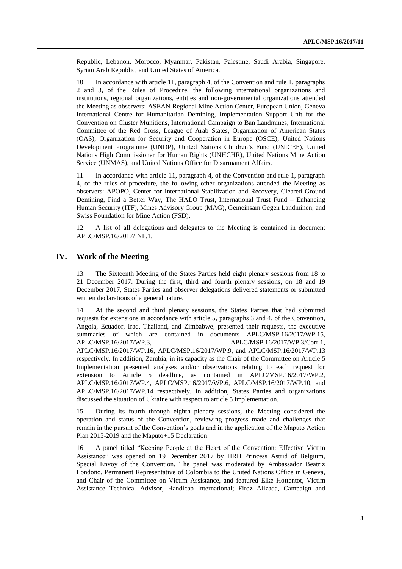Republic, Lebanon, Morocco, Myanmar, Pakistan, Palestine, Saudi Arabia, Singapore, Syrian Arab Republic, and United States of America.

10. In accordance with article 11, paragraph 4, of the Convention and rule 1, paragraphs 2 and 3, of the Rules of Procedure, the following international organizations and institutions, regional organizations, entities and non-governmental organizations attended the Meeting as observers: ASEAN Regional Mine Action Center, European Union, Geneva International Centre for Humanitarian Demining, Implementation Support Unit for the Convention on Cluster Munitions, International Campaign to Ban Landmines, International Committee of the Red Cross, League of Arab States, Organization of American States (OAS), Organization for Security and Cooperation in Europe (OSCE), United Nations Development Programme (UNDP), United Nations Children's Fund (UNICEF), United Nations High Commissioner for Human Rights (UNHCHR), United Nations Mine Action Service (UNMAS), and United Nations Office for Disarmament Affairs.

11. In accordance with article 11, paragraph 4, of the Convention and rule 1, paragraph 4, of the rules of procedure, the following other organizations attended the Meeting as observers: APOPO, Center for International Stabilization and Recovery, Cleared Ground Demining, Find a Better Way, The HALO Trust, International Trust Fund – Enhancing Human Security (ITF), Mines Advisory Group (MAG), Gemeinsam Gegen Landminen, and Swiss Foundation for Mine Action (FSD).

12. A list of all delegations and delegates to the Meeting is contained in document APLC/MSP.16/2017/INF.1.

### **IV. Work of the Meeting**

13. The Sixteenth Meeting of the States Parties held eight plenary sessions from 18 to 21 December 2017. During the first, third and fourth plenary sessions, on 18 and 19 December 2017, States Parties and observer delegations delivered statements or submitted written declarations of a general nature.

14. At the second and third plenary sessions, the States Parties that had submitted requests for extensions in accordance with article 5, paragraphs 3 and 4, of the Convention, Angola, Ecuador, Iraq, Thailand, and Zimbabwe, presented their requests, the executive summaries of which are contained in documents APLC/MSP.16/2017/WP.15, APLC/MSP.16/2017/WP.3, APLC/MSP.16/2017/WP.3/Corr.1, APLC/MSP.16/2017/WP.16, APLC/MSP.16/2017/WP.9, and APLC/MSP.16/2017/WP.13 respectively. In addition, Zambia, in its capacity as the Chair of the Committee on Article 5 Implementation presented analyses and/or observations relating to each request for extension to Article 5 deadline, as contained in APLC/MSP.16/2017/WP.2, APLC/MSP.16/2017/WP.4, APLC/MSP.16/2017/WP.6, APLC/MSP.16/2017/WP.10, and APLC/MSP.16/2017/WP.14 respectively. In addition, States Parties and organizations discussed the situation of Ukraine with respect to article 5 implementation.

15. During its fourth through eighth plenary sessions, the Meeting considered the operation and status of the Convention, reviewing progress made and challenges that remain in the pursuit of the Convention's goals and in the application of the Maputo Action Plan 2015-2019 and the Maputo+15 Declaration.

16. A panel titled "Keeping People at the Heart of the Convention: Effective Victim Assistance" was opened on 19 December 2017 by HRH Princess Astrid of Belgium, Special Envoy of the Convention. The panel was moderated by Ambassador Beatriz Londoño, Permanent Representative of Colombia to the United Nations Office in Geneva, and Chair of the Committee on Victim Assistance, and featured Elke Hottentot, Victim Assistance Technical Advisor, Handicap International; Firoz Alizada, Campaign and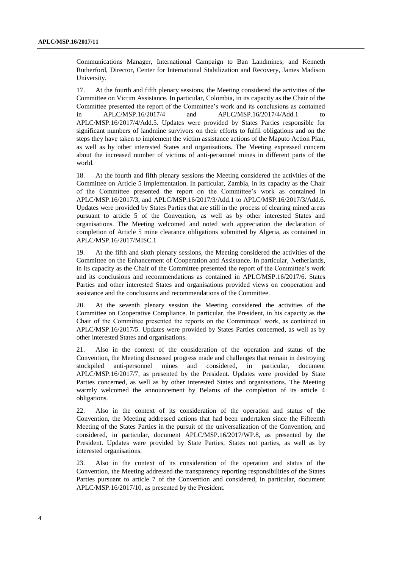Communications Manager, International Campaign to Ban Landmines; and Kenneth Rutherford, Director, Center for International Stabilization and Recovery, James Madison University.

17. At the fourth and fifth plenary sessions, the Meeting considered the activities of the Committee on Victim Assistance. In particular, Colombia, in its capacity as the Chair of the Committee presented the report of the Committee's work and its conclusions as contained in APLC/MSP.16/2017/4 and APLC/MSP.16/2017/4/Add.1 to APLC/MSP.16/2017/4/Add.5. Updates were provided by States Parties responsible for significant numbers of landmine survivors on their efforts to fulfil obligations and on the steps they have taken to implement the victim assistance actions of the Maputo Action Plan, as well as by other interested States and organisations. The Meeting expressed concern about the increased number of victims of anti-personnel mines in different parts of the world.

18. At the fourth and fifth plenary sessions the Meeting considered the activities of the Committee on Article 5 Implementation. In particular, Zambia, in its capacity as the Chair of the Committee presented the report on the Committee's work as contained in APLC/MSP.16/2017/3, and APLC/MSP.16/2017/3/Add.1 to APLC/MSP.16/2017/3/Add.6. Updates were provided by States Parties that are still in the process of clearing mined areas pursuant to article 5 of the Convention, as well as by other interested States and organisations. The Meeting welcomed and noted with appreciation the declaration of completion of Article 5 mine clearance obligations submitted by Algeria, as contained in APLC/MSP.16/2017/MISC.1

19. At the fifth and sixth plenary sessions, the Meeting considered the activities of the Committee on the Enhancement of Cooperation and Assistance. In particular, Netherlands, in its capacity as the Chair of the Committee presented the report of the Committee's work and its conclusions and recommendations as contained in APLC/MSP.16/2017/6. States Parties and other interested States and organisations provided views on cooperation and assistance and the conclusions and recommendations of the Committee.

20. At the seventh plenary session the Meeting considered the activities of the Committee on Cooperative Compliance. In particular, the President, in his capacity as the Chair of the Committee presented the reports on the Committees' work, as contained in APLC/MSP.16/2017/5. Updates were provided by States Parties concerned, as well as by other interested States and organisations.

21. Also in the context of the consideration of the operation and status of the Convention, the Meeting discussed progress made and challenges that remain in destroying stockpiled anti-personnel mines and considered, in particular, document APLC/MSP.16/2017/7, as presented by the President. Updates were provided by State Parties concerned, as well as by other interested States and organisations. The Meeting warmly welcomed the announcement by Belarus of the completion of its article 4 obligations.

22. Also in the context of its consideration of the operation and status of the Convention, the Meeting addressed actions that had been undertaken since the Fifteenth Meeting of the States Parties in the pursuit of the universalization of the Convention, and considered, in particular, document APLC/MSP.16/2017/WP.8, as presented by the President. Updates were provided by State Parties, States not parties, as well as by interested organisations.

23. Also in the context of its consideration of the operation and status of the Convention, the Meeting addressed the transparency reporting responsibilities of the States Parties pursuant to article 7 of the Convention and considered, in particular, document APLC/MSP.16/2017/10, as presented by the President.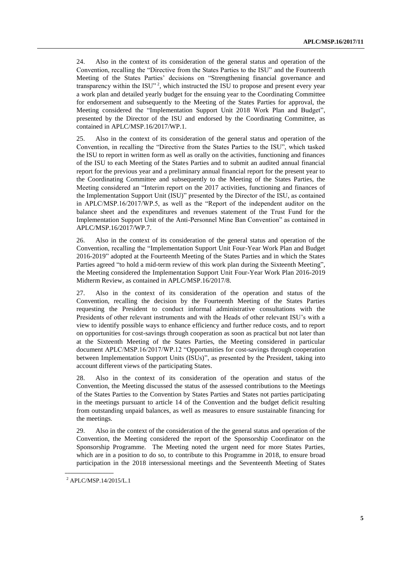24. Also in the context of its consideration of the general status and operation of the Convention, recalling the "Directive from the States Parties to the ISU" and the Fourteenth Meeting of the States Parties' decisions on "Strengthening financial governance and transparency within the ISU"<sup>2</sup>, which instructed the ISU to propose and present every year a work plan and detailed yearly budget for the ensuing year to the Coordinating Committee for endorsement and subsequently to the Meeting of the States Parties for approval, the Meeting considered the "Implementation Support Unit 2018 Work Plan and Budget", presented by the Director of the ISU and endorsed by the Coordinating Committee, as contained in APLC/MSP.16/2017/WP.1.

25. Also in the context of its consideration of the general status and operation of the Convention, in recalling the "Directive from the States Parties to the ISU", which tasked the ISU to report in written form as well as orally on the activities, functioning and finances of the ISU to each Meeting of the States Parties and to submit an audited annual financial report for the previous year and a preliminary annual financial report for the present year to the Coordinating Committee and subsequently to the Meeting of the States Parties, the Meeting considered an "Interim report on the 2017 activities, functioning and finances of the Implementation Support Unit (ISU)" presented by the Director of the ISU, as contained in APLC/MSP.16/2017/WP.5, as well as the "Report of the independent auditor on the balance sheet and the expenditures and revenues statement of the Trust Fund for the Implementation Support Unit of the Anti-Personnel Mine Ban Convention" as contained in APLC/MSP.16/2017/WP.7.

26. Also in the context of its consideration of the general status and operation of the Convention, recalling the "Implementation Support Unit Four-Year Work Plan and Budget 2016-2019" adopted at the Fourteenth Meeting of the States Parties and in which the States Parties agreed "to hold a mid-term review of this work plan during the Sixteenth Meeting", the Meeting considered the Implementation Support Unit Four-Year Work Plan 2016-2019 Midterm Review, as contained in APLC/MSP.16/2017/8.

27. Also in the context of its consideration of the operation and status of the Convention, recalling the decision by the Fourteenth Meeting of the States Parties requesting the President to conduct informal administrative consultations with the Presidents of other relevant instruments and with the Heads of other relevant ISU's with a view to identify possible ways to enhance efficiency and further reduce costs, and to report on opportunities for cost-savings through cooperation as soon as practical but not later than at the Sixteenth Meeting of the States Parties, the Meeting considered in particular document APLC/MSP.16/2017/WP.12 "Opportunities for cost-savings through cooperation between Implementation Support Units (ISUs)", as presented by the President, taking into account different views of the participating States.

28. Also in the context of its consideration of the operation and status of the Convention, the Meeting discussed the status of the assessed contributions to the Meetings of the States Parties to the Convention by States Parties and States not parties participating in the meetings pursuant to article 14 of the Convention and the budget deficit resulting from outstanding unpaid balances, as well as measures to ensure sustainable financing for the meetings.

29. Also in the context of the consideration of the the general status and operation of the Convention, the Meeting considered the report of the Sponsorship Coordinator on the Sponsorship Programme. The Meeting noted the urgent need for more States Parties, which are in a position to do so, to contribute to this Programme in 2018, to ensure broad participation in the 2018 intersessional meetings and the Seventeenth Meeting of States

**\_\_\_\_\_\_\_\_\_\_\_\_\_\_\_\_\_\_**

<sup>2</sup> APLC/MSP.14/2015/L.1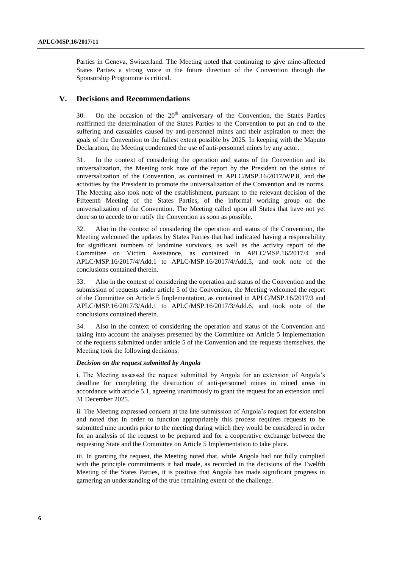Parties in Geneva, Switzerland. The Meeting noted that continuing to give mine-affected States Parties a strong voice in the future direction of the Convention through the Sponsorship Programme is critical.

### **V. Decisions and Recommendations**

30. On the occasion of the  $20<sup>th</sup>$  anniversary of the Convention, the States Parties reaffirmed the determination of the States Parties to the Convention to put an end to the suffering and casualties caused by anti-personnel mines and their aspiration to meet the goals of the Convention to the fullest extent possible by 2025. In keeping with the Maputo Declaration, the Meeting condemned the use of anti-personnel mines by any actor.

31. In the context of considering the operation and status of the Convention and its universalization, the Meeting took note of the report by the President on the status of universalization of the Convention, as contained in APLC/MSP.16/2017/WP.8, and the activities by the President to promote the universalization of the Convention and its norms. The Meeting also took note of the establishment, pursuant to the relevant decision of the Fifteenth Meeting of the States Parties, of the informal working group on the universalization of the Convention. The Meeting called upon all States that have not yet done so to accede to or ratify the Convention as soon as possible.

32. Also in the context of considering the operation and status of the Convention, the Meeting welcomed the updates by States Parties that had indicated having a responsibility for significant numbers of landmine survivors, as well as the activity report of the Committee on Victim Assistance, as contained in APLC/MSP.16/2017/4 and APLC/MSP.16/2017/4/Add.1 to APLC/MSP.16/2017/4/Add.5, and took note of the conclusions contained therein.

33. Also in the context of considering the operation and status of the Convention and the submission of requests under article 5 of the Convention, the Meeting welcomed the report of the Committee on Article 5 Implementation, as contained in APLC/MSP.16/2017/3 and APLC/MSP.16/2017/3/Add.1 to APLC/MSP.16/2017/3/Add.6, and took note of the conclusions contained therein.

34. Also in the context of considering the operation and status of the Convention and taking into account the analyses presented by the Committee on Article 5 Implementation of the requests submitted under article 5 of the Convention and the requests themselves, the Meeting took the following decisions:

#### *Decision on the request submitted by Angola*

i. The Meeting assessed the request submitted by Angola for an extension of Angola's deadline for completing the destruction of anti-personnel mines in mined areas in accordance with article 5.1, agreeing unanimously to grant the request for an extension until 31 December 2025.

ii. The Meeting expressed concern at the late submission of Angola's request for extension and noted that in order to function appropriately this process requires requests to be submitted nine months prior to the meeting during which they would be considered in order for an analysis of the request to be prepared and for a cooperative exchange between the requesting State and the Committee on Article 5 Implementation to take place.

iii. In granting the request, the Meeting noted that, while Angola had not fully complied with the principle commitments it had made, as recorded in the decisions of the Twelfth Meeting of the States Parties, it is positive that Angola has made significant progress in garnering an understanding of the true remaining extent of the challenge.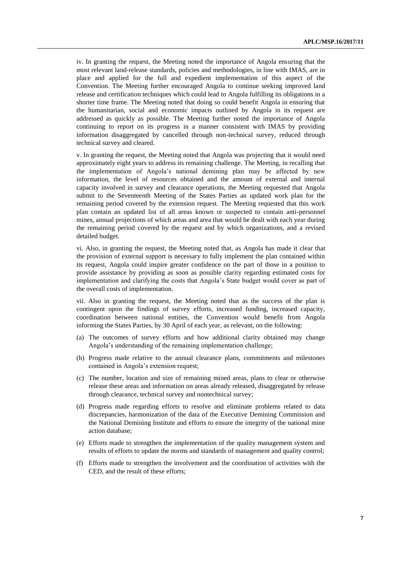iv. In granting the request, the Meeting noted the importance of Angola ensuring that the most relevant land-release standards, policies and methodologies, in line with IMAS, are in place and applied for the full and expedient implementation of this aspect of the Convention. The Meeting further encouraged Angola to continue seeking improved land release and certification techniques which could lead to Angola fulfilling its obligations in a shorter time frame. The Meeting noted that doing so could benefit Angola in ensuring that the humanitarian, social and economic impacts outlined by Angola in its request are addressed as quickly as possible. The Meeting further noted the importance of Angola continuing to report on its progress in a manner consistent with IMAS by providing information disaggregated by cancelled through non-technical survey, reduced through technical survey and cleared.

v. In granting the request, the Meeting noted that Angola was projecting that it would need approximately eight years to address its remaining challenge. The Meeting, in recalling that the implementation of Angola's national demining plan may be affected by new information, the level of resources obtained and the amount of external and internal capacity involved in survey and clearance operations, the Meeting requested that Angola submit to the Seventeenth Meeting of the States Parties an updated work plan for the remaining period covered by the extension request. The Meeting requested that this work plan contain an updated list of all areas known or suspected to contain anti-personnel mines, annual projections of which areas and area that would be dealt with each year during the remaining period covered by the request and by which organizations, and a revised detailed budget.

vi. Also, in granting the request, the Meeting noted that, as Angola has made it clear that the provision of external support is necessary to fully implement the plan contained within its request, Angola could inspire greater confidence on the part of those in a position to provide assistance by providing as soon as possible clarity regarding estimated costs for implementation and clarifying the costs that Angola's State budget would cover as part of the overall costs of implementation.

vii. Also in granting the request, the Meeting noted that as the success of the plan is contingent upon the findings of survey efforts, increased funding, increased capacity, coordination between national entities, the Convention would benefit from Angola informing the States Parties, by 30 April of each year, as relevant, on the following:

- (a) The outcomes of survey efforts and how additional clarity obtained may change Angola's understanding of the remaining implementation challenge;
- (b) Progress made relative to the annual clearance plans, commitments and milestones contained in Angola's extension request;
- (c) The number, location and size of remaining mined areas, plans to clear or otherwise release these areas and information on areas already released, disaggregated by release through clearance, technical survey and nontechnical survey;
- (d) Progress made regarding efforts to resolve and eliminate problems related to data discrepancies, harmonization of the data of the Executive Demining Commission and the National Demining Institute and efforts to ensure the integrity of the national mine action database;
- (e) Efforts made to strengthen the implementation of the quality management system and results of efforts to update the norms and standards of management and quality control;
- (f) Efforts made to strengthen the involvement and the coordination of activities with the CED, and the result of these efforts;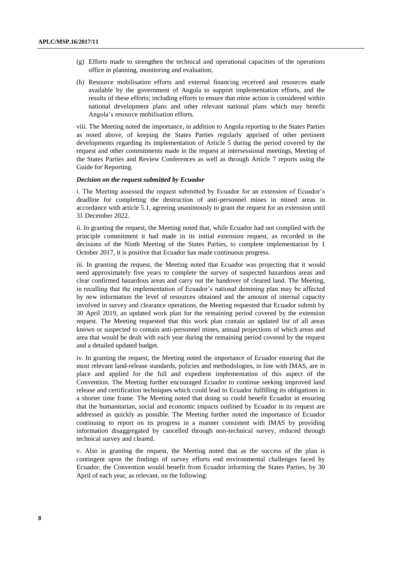- (g) Efforts made to strengthen the technical and operational capacities of the operations office in planning, monitoring and evaluation;
- (h) Resource mobilisation efforts and external financing received and resources made available by the government of Angola to support implementation efforts, and the results of these efforts; including efforts to ensure that mine action is considered within national development plans and other relevant national plans which may benefit Angola's resource mobilisation efforts.

viii. The Meeting noted the importance, in addition to Angola reporting to the States Parties as noted above, of keeping the States Parties regularly apprised of other pertinent developments regarding its implementation of Article 5 during the period covered by the request and other commitments made in the request at intersessional meetings, Meeting of the States Parties and Review Conferences as well as through Article 7 reports using the Guide for Reporting.

#### *Decision on the request submitted by Ecuador*

i. The Meeting assessed the request submitted by Ecuador for an extension of Ecuador's deadline for completing the destruction of anti-personnel mines in mined areas in accordance with article 5.1, agreeing unanimously to grant the request for an extension until 31 December 2022.

ii. In granting the request, the Meeting noted that, while Ecuador had not complied with the principle commitment it had made in its initial extension request, as recorded in the decisions of the Ninth Meeting of the States Parties, to complete implementation by 1 October 2017, it is positive that Ecuador has made continuous progress.

iii. In granting the request, the Meeting noted that Ecuador was projecting that it would need approximately five years to complete the survey of suspected hazardous areas and clear confirmed hazardous areas and carry out the handover of cleared land. The Meeting, in recalling that the implementation of Ecuador's national demining plan may be affected by new information the level of resources obtained and the amount of internal capacity involved in survey and clearance operations, the Meeting requested that Ecuador submit by 30 April 2019, an updated work plan for the remaining period covered by the extension request. The Meeting requested that this work plan contain an updated list of all areas known or suspected to contain anti-personnel mines, annual projections of which areas and area that would be dealt with each year during the remaining period covered by the request and a detailed updated budget.

iv. In granting the request, the Meeting noted the importance of Ecuador ensuring that the most relevant land-release standards, policies and methodologies, in line with IMAS, are in place and applied for the full and expedient implementation of this aspect of the Convention. The Meeting further encouraged Ecuador to continue seeking improved land release and certification techniques which could lead to Ecuador fulfilling its obligations in a shorter time frame. The Meeting noted that doing so could benefit Ecuador in ensuring that the humanitarian, social and economic impacts outlined by Ecuador in its request are addressed as quickly as possible. The Meeting further noted the importance of Ecuador continuing to report on its progress in a manner consistent with IMAS by providing information disaggregated by cancelled through non-technical survey, reduced through technical survey and cleared.

v. Also in granting the request, the Meeting noted that as the success of the plan is contingent upon the findings of survey efforts end environmental challenges faced by Ecuador, the Convention would benefit from Ecuador informing the States Parties, by 30 April of each year, as relevant, on the following: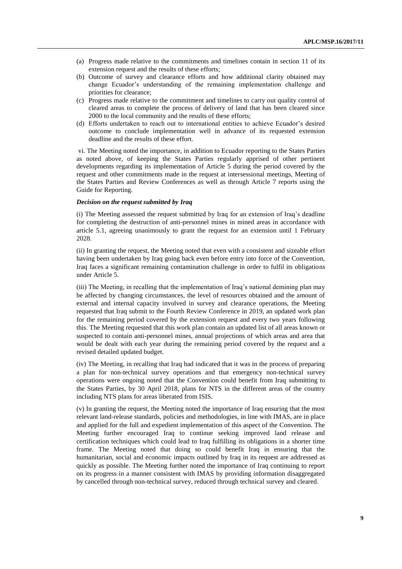- (a) Progress made relative to the commitments and timelines contain in section 11 of its extension request and the results of these efforts;
- (b) Outcome of survey and clearance efforts and how additional clarity obtained may change Ecuador's understanding of the remaining implementation challenge and priorities for clearance;
- (c) Progress made relative to the commitment and timelines to carry out quality control of cleared areas to complete the process of delivery of land that has been cleared since 2000 to the local community and the results of these efforts;
- (d) Efforts undertaken to reach out to international entities to achieve Ecuador's desired outcome to conclude implementation well in advance of its requested extension deadline and the results of these effort.

vi. The Meeting noted the importance, in addition to Ecuador reporting to the States Parties as noted above, of keeping the States Parties regularly apprised of other pertinent developments regarding its implementation of Article 5 during the period covered by the request and other commitments made in the request at intersessional meetings, Meeting of the States Parties and Review Conferences as well as through Article 7 reports using the Guide for Reporting.

#### *Decision on the request submitted by Iraq*

(i) The Meeting assessed the request submitted by Iraq for an extension of Iraq's deadline for completing the destruction of anti-personnel mines in mined areas in accordance with article 5.1, agreeing unanimously to grant the request for an extension until 1 February 2028.

(ii) In granting the request, the Meeting noted that even with a consistent and sizeable effort having been undertaken by Iraq going back even before entry into force of the Convention, Iraq faces a significant remaining contamination challenge in order to fulfil its obligations under Article 5.

(iii) The Meeting, in recalling that the implementation of Iraq's national demining plan may be affected by changing circumstances, the level of resources obtained and the amount of external and internal capacity involved in survey and clearance operations, the Meeting requested that Iraq submit to the Fourth Review Conference in 2019, an updated work plan for the remaining period covered by the extension request and every two years following this. The Meeting requested that this work plan contain an updated list of all areas known or suspected to contain anti-personnel mines, annual projections of which areas and area that would be dealt with each year during the remaining period covered by the request and a revised detailed updated budget.

(iv) The Meeting, in recalling that Iraq had indicated that it was in the process of preparing a plan for non-technical survey operations and that emergency non-technical survey operations were ongoing noted that the Convention could benefit from Iraq submitting to the States Parties, by 30 April 2018, plans for NTS in the different areas of the country including NTS plans for areas liberated from ISIS.

(v) In granting the request, the Meeting noted the importance of Iraq ensuring that the most relevant land-release standards, policies and methodologies, in line with IMAS, are in place and applied for the full and expedient implementation of this aspect of the Convention. The Meeting further encouraged Iraq to continue seeking improved land release and certification techniques which could lead to Iraq fulfilling its obligations in a shorter time frame. The Meeting noted that doing so could benefit Iraq in ensuring that the humanitarian, social and economic impacts outlined by Iraq in its request are addressed as quickly as possible. The Meeting further noted the importance of Iraq continuing to report on its progress in a manner consistent with IMAS by providing information disaggregated by cancelled through non-technical survey, reduced through technical survey and cleared.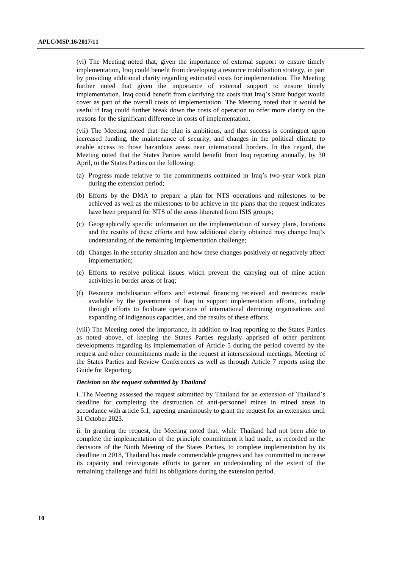(vi) The Meeting noted that, given the importance of external support to ensure timely implementation, Iraq could benefit from developing a resource mobilisation strategy, in part by providing additional clarity regarding estimated costs for implementation. The Meeting further noted that given the importance of external support to ensure timely implementation, Iraq could benefit from clarifying the costs that Iraq's State budget would cover as part of the overall costs of implementation. The Meeting noted that it would be useful if Iraq could further break down the costs of operation to offer more clarity on the reasons for the significant difference in costs of implementation.

(vii) The Meeting noted that the plan is ambitious, and that success is contingent upon increased funding, the maintenance of security, and changes in the political climate to enable access to those hazardous areas near international borders. In this regard, the Meeting noted that the States Parties would benefit from Iraq reporting annually, by 30 April, to the States Parties on the following:

- (a) Progress made relative to the commitments contained in Iraq's two-year work plan during the extension period;
- (b) Efforts by the DMA to prepare a plan for NTS operations and milestones to be achieved as well as the milestones to be achieve in the plans that the request indicates have been prepared for NTS of the areas liberated from ISIS groups;
- (c) Geographically specific information on the implementation of survey plans, locations and the results of these efforts and how additional clarity obtained may change Iraq's understanding of the remaining implementation challenge;
- (d) Changes in the security situation and how these changes positively or negatively affect implementation;
- (e) Efforts to resolve political issues which prevent the carrying out of mine action activities in border areas of Iraq;
- (f) Resource mobilisation efforts and external financing received and resources made available by the government of Iraq to support implementation efforts, including through efforts to facilitate operations of international demining organisations and expanding of indigenous capacities, and the results of these efforts.

(viii) The Meeting noted the importance, in addition to Iraq reporting to the States Parties as noted above, of keeping the States Parties regularly apprised of other pertinent developments regarding its implementation of Article 5 during the period covered by the request and other commitments made in the request at intersessional meetings, Meeting of the States Parties and Review Conferences as well as through Article 7 reports using the Guide for Reporting.

#### *Decision on the request submitted by Thailand*

i. The Meeting assessed the request submitted by Thailand for an extension of Thailand's deadline for completing the destruction of anti-personnel mines in mined areas in accordance with article 5.1, agreeing unanimously to grant the request for an extension until 31 October 2023.

ii. In granting the request, the Meeting noted that, while Thailand had not been able to complete the implementation of the principle commitment it had made, as recorded in the decisions of the Ninth Meeting of the States Parties, to complete implementation by its deadline in 2018, Thailand has made commendable progress and has committed to increase its capacity and reinvigorate efforts to garner an understanding of the extent of the remaining challenge and fulfil its obligations during the extension period.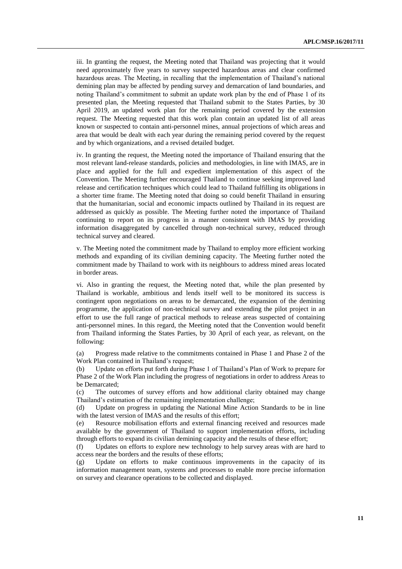iii. In granting the request, the Meeting noted that Thailand was projecting that it would need approximately five years to survey suspected hazardous areas and clear confirmed hazardous areas. The Meeting, in recalling that the implementation of Thailand's national demining plan may be affected by pending survey and demarcation of land boundaries, and noting Thailand's commitment to submit an update work plan by the end of Phase 1 of its presented plan, the Meeting requested that Thailand submit to the States Parties, by 30 April 2019, an updated work plan for the remaining period covered by the extension request. The Meeting requested that this work plan contain an updated list of all areas known or suspected to contain anti-personnel mines, annual projections of which areas and area that would be dealt with each year during the remaining period covered by the request and by which organizations, and a revised detailed budget.

iv. In granting the request, the Meeting noted the importance of Thailand ensuring that the most relevant land-release standards, policies and methodologies, in line with IMAS, are in place and applied for the full and expedient implementation of this aspect of the Convention. The Meeting further encouraged Thailand to continue seeking improved land release and certification techniques which could lead to Thailand fulfilling its obligations in a shorter time frame. The Meeting noted that doing so could benefit Thailand in ensuring that the humanitarian, social and economic impacts outlined by Thailand in its request are addressed as quickly as possible. The Meeting further noted the importance of Thailand continuing to report on its progress in a manner consistent with IMAS by providing information disaggregated by cancelled through non-technical survey, reduced through technical survey and cleared.

v. The Meeting noted the commitment made by Thailand to employ more efficient working methods and expanding of its civilian demining capacity. The Meeting further noted the commitment made by Thailand to work with its neighbours to address mined areas located in border areas.

vi. Also in granting the request, the Meeting noted that, while the plan presented by Thailand is workable, ambitious and lends itself well to be monitored its success is contingent upon negotiations on areas to be demarcated, the expansion of the demining programme, the application of non-technical survey and extending the pilot project in an effort to use the full range of practical methods to release areas suspected of containing anti-personnel mines. In this regard, the Meeting noted that the Convention would benefit from Thailand informing the States Parties, by 30 April of each year, as relevant, on the following:

(a) Progress made relative to the commitments contained in Phase 1 and Phase 2 of the Work Plan contained in Thailand's request;

(b) Update on efforts put forth during Phase 1 of Thailand's Plan of Work to prepare for Phase 2 of the Work Plan including the progress of negotiations in order to address Areas to be Demarcated;

(c) The outcomes of survey efforts and how additional clarity obtained may change Thailand's estimation of the remaining implementation challenge;

(d) Update on progress in updating the National Mine Action Standards to be in line with the latest version of IMAS and the results of this effort;

(e) Resource mobilisation efforts and external financing received and resources made available by the government of Thailand to support implementation efforts, including through efforts to expand its civilian demining capacity and the results of these effort;

(f) Updates on efforts to explore new technology to help survey areas with are hard to access near the borders and the results of these efforts;

(g) Update on efforts to make continuous improvements in the capacity of its information management team, systems and processes to enable more precise information on survey and clearance operations to be collected and displayed.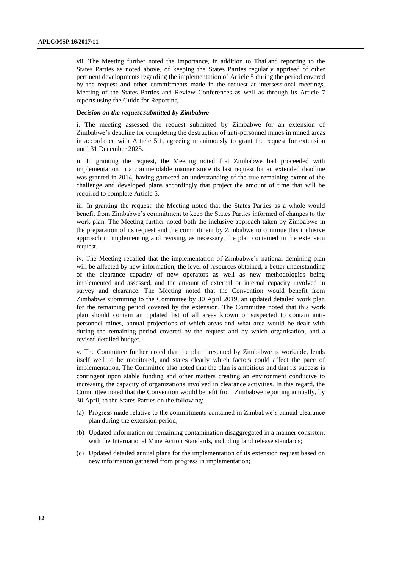vii. The Meeting further noted the importance, in addition to Thailand reporting to the States Parties as noted above, of keeping the States Parties regularly apprised of other pertinent developments regarding the implementation of Article 5 during the period covered by the request and other commitments made in the request at intersessional meetings, Meeting of the States Parties and Review Conferences as well as through its Article 7 reports using the Guide for Reporting.

#### **D***ecision on the request submitted by Zimbabwe*

i. The meeting assessed the request submitted by Zimbabwe for an extension of Zimbabwe's deadline for completing the destruction of anti-personnel mines in mined areas in accordance with Article 5.1, agreeing unanimously to grant the request for extension until 31 December 2025.

ii. In granting the request, the Meeting noted that Zimbabwe had proceeded with implementation in a commendable manner since its last request for an extended deadline was granted in 2014, having garnered an understanding of the true remaining extent of the challenge and developed plans accordingly that project the amount of time that will be required to complete Article 5.

iii. In granting the request, the Meeting noted that the States Parties as a whole would benefit from Zimbabwe's commitment to keep the States Parties informed of changes to the work plan. The Meeting further noted both the inclusive approach taken by Zimbabwe in the preparation of its request and the commitment by Zimbabwe to continue this inclusive approach in implementing and revising, as necessary, the plan contained in the extension request.

iv. The Meeting recalled that the implementation of Zimbabwe's national demining plan will be affected by new information, the level of resources obtained, a better understanding of the clearance capacity of new operators as well as new methodologies being implemented and assessed, and the amount of external or internal capacity involved in survey and clearance. The Meeting noted that the Convention would benefit from Zimbabwe submitting to the Committee by 30 April 2019, an updated detailed work plan for the remaining period covered by the extension. The Committee noted that this work plan should contain an updated list of all areas known or suspected to contain antipersonnel mines, annual projections of which areas and what area would be dealt with during the remaining period covered by the request and by which organisation, and a revised detailed budget.

v. The Committee further noted that the plan presented by Zimbabwe is workable, lends itself well to be monitored, and states clearly which factors could affect the pace of implementation. The Committee also noted that the plan is ambitious and that its success is contingent upon stable funding and other matters creating an environment conducive to increasing the capacity of organizations involved in clearance activities. In this regard, the Committee noted that the Convention would benefit from Zimbabwe reporting annually, by 30 April, to the States Parties on the following:

- (a) Progress made relative to the commitments contained in Zimbabwe's annual clearance plan during the extension period;
- (b) Updated information on remaining contamination disaggregated in a manner consistent with the International Mine Action Standards, including land release standards;
- (c) Updated detailed annual plans for the implementation of its extension request based on new information gathered from progress in implementation;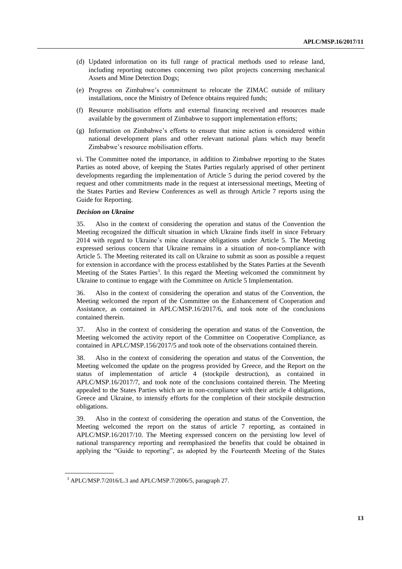- (d) Updated information on its full range of practical methods used to release land, including reporting outcomes concerning two pilot projects concerning mechanical Assets and Mine Detection Dogs;
- (e) Progress on Zimbabwe's commitment to relocate the ZIMAC outside of military installations, once the Ministry of Defence obtains required funds;
- (f) Resource mobilisation efforts and external financing received and resources made available by the government of Zimbabwe to support implementation efforts;
- (g) Information on Zimbabwe's efforts to ensure that mine action is considered within national development plans and other relevant national plans which may benefit Zimbabwe's resource mobilisation efforts.

vi. The Committee noted the importance, in addition to Zimbabwe reporting to the States Parties as noted above, of keeping the States Parties regularly apprised of other pertinent developments regarding the implementation of Article 5 during the period covered by the request and other commitments made in the request at intersessional meetings, Meeting of the States Parties and Review Conferences as well as through Article 7 reports using the Guide for Reporting.

#### *Decision on Ukraine*

35. Also in the context of considering the operation and status of the Convention the Meeting recognized the difficult situation in which Ukraine finds itself in since February 2014 with regard to Ukraine's mine clearance obligations under Article 5. The Meeting expressed serious concern that Ukraine remains in a situation of non-compliance with Article 5. The Meeting reiterated its call on Ukraine to submit as soon as possible a request for extension in accordance with the process established by the States Parties at the Seventh Meeting of the States Parties<sup>3</sup>. In this regard the Meeting welcomed the commitment by Ukraine to continue to engage with the Committee on Article 5 Implementation.

36. Also in the context of considering the operation and status of the Convention, the Meeting welcomed the report of the Committee on the Enhancement of Cooperation and Assistance, as contained in APLC/MSP.16/2017/6, and took note of the conclusions contained therein.

37. Also in the context of considering the operation and status of the Convention, the Meeting welcomed the activity report of the Committee on Cooperative Compliance, as contained in APLC/MSP.156/2017/5 and took note of the observations contained therein.

38. Also in the context of considering the operation and status of the Convention, the Meeting welcomed the update on the progress provided by Greece, and the Report on the status of implementation of article 4 (stockpile destruction), as contained in APLC/MSP.16/2017/7, and took note of the conclusions contained therein. The Meeting appealed to the States Parties which are in non-compliance with their article 4 obligations, Greece and Ukraine, to intensify efforts for the completion of their stockpile destruction obligations.

39. Also in the context of considering the operation and status of the Convention, the Meeting welcomed the report on the status of article 7 reporting, as contained in APLC/MSP.16/2017/10. The Meeting expressed concern on the persisting low level of national transparency reporting and reemphasized the benefits that could be obtained in applying the "Guide to reporting", as adopted by the Fourteenth Meeting of the States

**\_\_\_\_\_\_\_\_\_\_\_\_\_\_\_\_\_\_**

 $3$  APLC/MSP.7/2016/L.3 and APLC/MSP.7/2006/5, paragraph 27.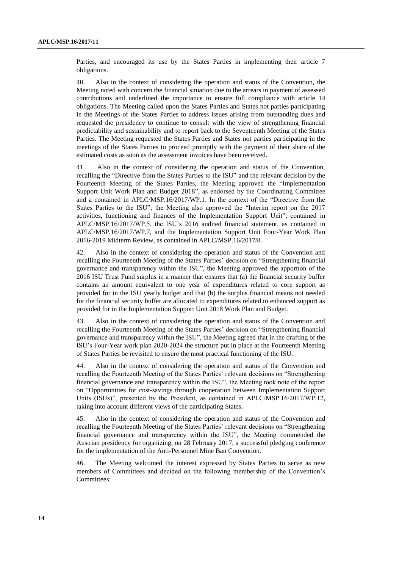Parties, and encouraged its use by the States Parties in implementing their article 7 obligations.

40. Also in the context of considering the operation and status of the Convention, the Meeting noted with concern the financial situation due to the arrears in payment of assessed contributions and underlined the importance to ensure full compliance with article 14 obligations. The Meeting called upon the States Parties and States not parties participating in the Meetings of the States Parties to address issues arising from outstanding dues and requested the presidency to continue to consult with the view of strengthening financial predictability and sustainability and to report back to the Seventeenth Meeting of the States Parties. The Meeting requested the States Parties and States not parties participating in the meetings of the States Parties to proceed promptly with the payment of their share of the estimated costs as soon as the assessment invoices have been received.

41. Also in the context of considering the operation and status of the Convention, recalling the "Directive from the States Parties to the ISU" and the relevant decision by the Fourteenth Meeting of the States Parties, the Meeting approved the "Implementation Support Unit Work Plan and Budget 2018", as endorsed by the Coordinating Committee and a contained in APLC/MSP.16/2017/WP.1. In the context of the "Directive from the States Parties to the ISU", the Meeting also approved the "Interim report on the 2017 activities, functioning and finances of the Implementation Support Unit", contained in APLC/MSP.16/2017/WP.5, the ISU's 2016 audited financial statement, as contained in APLC/MSP.16/2017/WP.7, and the Implementation Support Unit Four-Year Work Plan 2016-2019 Midterm Review, as contained in APLC/MSP.16/2017/8.

42. Also in the context of considering the operation and status of the Convention and recalling the Fourteenth Meeting of the States Parties' decision on "Strengthening financial governance and transparency within the ISU", the Meeting approved the apportion of the 2016 ISU Trust Fund surplus in a manner that ensures that (a) the financial security buffer contains an amount equivalent to one year of expenditures related to core support as provided for in the ISU yearly budget and that (b) the surplus financial means not needed for the financial security buffer are allocated to expenditures related to enhanced support as provided for in the Implementation Support Unit 2018 Work Plan and Budget.

43. Also in the context of considering the operation and status of the Convention and recalling the Fourteenth Meeting of the States Parties' decision on "Strengthening financial governance and transparency within the ISU", the Meeting agreed that in the drafting of the ISU's Four-Year work plan 2020-2024 the structure put in place at the Fourteenth Meeting of States Parties be revisited to ensure the most practical functioning of the ISU.

44. Also in the context of considering the operation and status of the Convention and recalling the Fourteenth Meeting of the States Parties' relevant decisions on "Strengthening financial governance and transparency within the ISU", the Meeting took note of the report on "Opportunities for cost-savings through cooperation between Implementation Support Units (ISUs)", presented by the President, as contained in APLC/MSP.16/2017/WP.12, taking into account different views of the participating States.

45. Also in the context of considering the operation and status of the Convention and recalling the Fourteenth Meeting of the States Parties' relevant decisions on "Strengthening financial governance and transparency within the ISU", the Meeting commended the Austrian presidency for organizing, on 28 February 2017, a successful pledging conference for the implementation of the Anti-Personnel Mine Ban Convention.

46. The Meeting welcomed the interest expressed by States Parties to serve as new members of Committees and decided on the following membership of the Convention's Committees: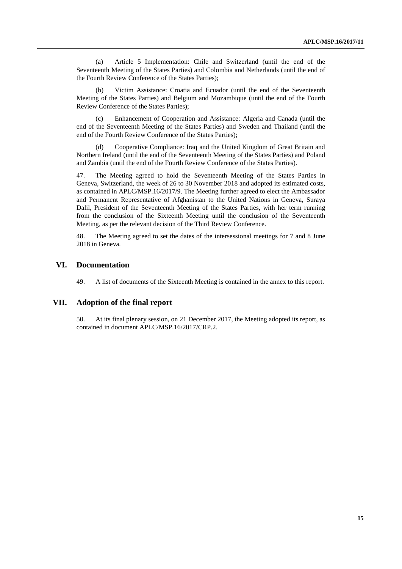(a) Article 5 Implementation: Chile and Switzerland (until the end of the Seventeenth Meeting of the States Parties) and Colombia and Netherlands (until the end of the Fourth Review Conference of the States Parties);

(b) Victim Assistance: Croatia and Ecuador (until the end of the Seventeenth Meeting of the States Parties) and Belgium and Mozambique (until the end of the Fourth Review Conference of the States Parties);

(c) Enhancement of Cooperation and Assistance: Algeria and Canada (until the end of the Seventeenth Meeting of the States Parties) and Sweden and Thailand (until the end of the Fourth Review Conference of the States Parties);

(d) Cooperative Compliance: Iraq and the United Kingdom of Great Britain and Northern Ireland (until the end of the Seventeenth Meeting of the States Parties) and Poland and Zambia (until the end of the Fourth Review Conference of the States Parties).

47. The Meeting agreed to hold the Seventeenth Meeting of the States Parties in Geneva, Switzerland, the week of 26 to 30 November 2018 and adopted its estimated costs, as contained in APLC/MSP.16/2017/9. The Meeting further agreed to elect the Ambassador and Permanent Representative of Afghanistan to the United Nations in Geneva, Suraya Dalil, President of the Seventeenth Meeting of the States Parties, with her term running from the conclusion of the Sixteenth Meeting until the conclusion of the Seventeenth Meeting, as per the relevant decision of the Third Review Conference.

48. The Meeting agreed to set the dates of the intersessional meetings for 7 and 8 June 2018 in Geneva.

### **VI. Documentation**

49. A list of documents of the Sixteenth Meeting is contained in the annex to this report.

### **VII. Adoption of the final report**

50. At its final plenary session, on 21 December 2017, the Meeting adopted its report, as contained in document APLC/MSP.16/2017/CRP.2.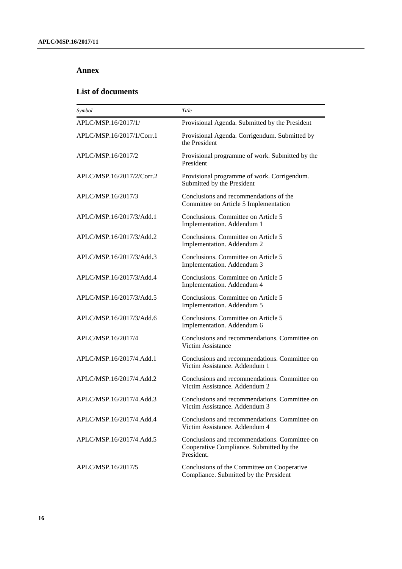## **Annex**

# **List of documents**

| Symbol                    | Title                                                                                                   |
|---------------------------|---------------------------------------------------------------------------------------------------------|
| APLC/MSP.16/2017/1/       | Provisional Agenda. Submitted by the President                                                          |
| APLC/MSP.16/2017/1/Corr.1 | Provisional Agenda. Corrigendum. Submitted by<br>the President                                          |
| APLC/MSP.16/2017/2        | Provisional programme of work. Submitted by the<br>President                                            |
| APLC/MSP.16/2017/2/Corr.2 | Provisional programme of work. Corrigendum.<br>Submitted by the President                               |
| APLC/MSP.16/2017/3        | Conclusions and recommendations of the<br>Committee on Article 5 Implementation                         |
| APLC/MSP.16/2017/3/Add.1  | Conclusions. Committee on Article 5<br>Implementation. Addendum 1                                       |
| APLC/MSP.16/2017/3/Add.2  | Conclusions. Committee on Article 5<br>Implementation. Addendum 2                                       |
| APLC/MSP.16/2017/3/Add.3  | Conclusions. Committee on Article 5<br>Implementation. Addendum 3                                       |
| APLC/MSP.16/2017/3/Add.4  | Conclusions. Committee on Article 5<br>Implementation. Addendum 4                                       |
| APLC/MSP.16/2017/3/Add.5  | Conclusions. Committee on Article 5<br>Implementation. Addendum 5                                       |
| APLC/MSP.16/2017/3/Add.6  | Conclusions. Committee on Article 5<br>Implementation. Addendum 6                                       |
| APLC/MSP.16/2017/4        | Conclusions and recommendations. Committee on<br>Victim Assistance                                      |
| APLC/MSP.16/2017/4.Add.1  | Conclusions and recommendations. Committee on<br>Victim Assistance. Addendum 1                          |
| APLC/MSP.16/2017/4.Add.2  | Conclusions and recommendations. Committee on<br>Victim Assistance. Addendum 2                          |
| APLC/MSP.16/2017/4.Add.3  | Conclusions and recommendations. Committee on<br>Victim Assistance. Addendum 3                          |
| APLC/MSP.16/2017/4.Add.4  | Conclusions and recommendations. Committee on<br>Victim Assistance, Addendum 4                          |
| APLC/MSP.16/2017/4.Add.5  | Conclusions and recommendations. Committee on<br>Cooperative Compliance. Submitted by the<br>President. |
| APLC/MSP.16/2017/5        | Conclusions of the Committee on Cooperative<br>Compliance. Submitted by the President                   |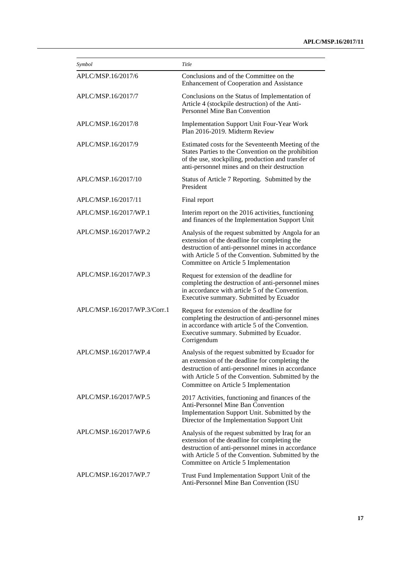| Symbol                       | Title                                                                                                                                                                                                                                                   |
|------------------------------|---------------------------------------------------------------------------------------------------------------------------------------------------------------------------------------------------------------------------------------------------------|
| APLC/MSP.16/2017/6           | Conclusions and of the Committee on the<br>Enhancement of Cooperation and Assistance                                                                                                                                                                    |
| APLC/MSP.16/2017/7           | Conclusions on the Status of Implementation of<br>Article 4 (stockpile destruction) of the Anti-<br>Personnel Mine Ban Convention                                                                                                                       |
| APLC/MSP.16/2017/8           | Implementation Support Unit Four-Year Work<br>Plan 2016-2019. Midterm Review                                                                                                                                                                            |
| APLC/MSP.16/2017/9           | Estimated costs for the Seventeenth Meeting of the<br>States Parties to the Convention on the prohibition<br>of the use, stockpiling, production and transfer of<br>anti-personnel mines and on their destruction                                       |
| APLC/MSP.16/2017/10          | Status of Article 7 Reporting. Submitted by the<br>President                                                                                                                                                                                            |
| APLC/MSP.16/2017/11          | Final report                                                                                                                                                                                                                                            |
| APLC/MSP.16/2017/WP.1        | Interim report on the 2016 activities, functioning<br>and finances of the Implementation Support Unit                                                                                                                                                   |
| APLC/MSP.16/2017/WP.2        | Analysis of the request submitted by Angola for an<br>extension of the deadline for completing the<br>destruction of anti-personnel mines in accordance<br>with Article 5 of the Convention. Submitted by the<br>Committee on Article 5 Implementation  |
| APLC/MSP.16/2017/WP.3        | Request for extension of the deadline for<br>completing the destruction of anti-personnel mines<br>in accordance with article 5 of the Convention.<br>Executive summary. Submitted by Ecuador                                                           |
| APLC/MSP.16/2017/WP.3/Corr.1 | Request for extension of the deadline for<br>completing the destruction of anti-personnel mines<br>in accordance with article 5 of the Convention.<br>Executive summary. Submitted by Ecuador.<br>Corrigendum                                           |
| APLC/MSP.16/2017/WP.4        | Analysis of the request submitted by Ecuador for<br>an extension of the deadline for completing the<br>destruction of anti-personnel mines in accordance<br>with Article 5 of the Convention. Submitted by the<br>Committee on Article 5 Implementation |
| APLC/MSP.16/2017/WP.5        | 2017 Activities, functioning and finances of the<br>Anti-Personnel Mine Ban Convention<br>Implementation Support Unit. Submitted by the<br>Director of the Implementation Support Unit                                                                  |
| APLC/MSP.16/2017/WP.6        | Analysis of the request submitted by Iraq for an<br>extension of the deadline for completing the<br>destruction of anti-personnel mines in accordance<br>with Article 5 of the Convention. Submitted by the<br>Committee on Article 5 Implementation    |
| APLC/MSP.16/2017/WP.7        | Trust Fund Implementation Support Unit of the<br>Anti-Personnel Mine Ban Convention (ISU                                                                                                                                                                |